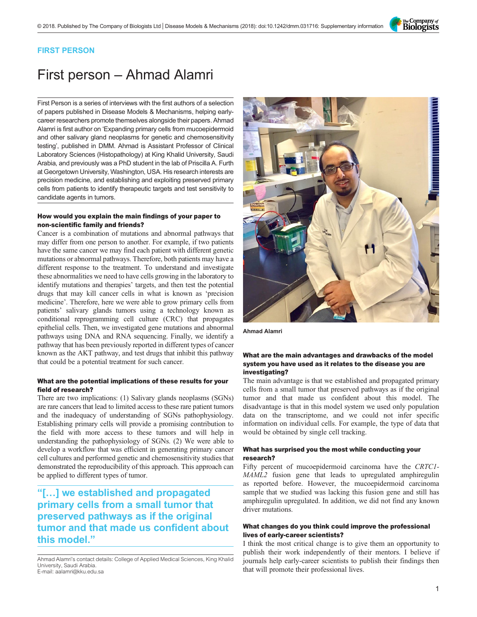The Company of<br>**Biologists** 

### FIRST PERSON

# First person – Ahmad Alamri

First Person is a series of interviews with the first authors of a selection of papers published in Disease Models & Mechanisms, helping earlycareer researchers promote themselves alongside their papers. Ahmad Alamri is first author on '[Expanding primary cells from mucoepidermoid](#page-1-0) [and other salivary gland neoplasms for genetic and chemosensitivity](#page-1-0) [testing](#page-1-0)', published in DMM. Ahmad is Assistant Professor of Clinical Laboratory Sciences (Histopathology) at King Khalid University, Saudi Arabia, and previously was a PhD student in the lab of Priscilla A. Furth at Georgetown University, Washington, USA. His research interests are precision medicine, and establishing and exploiting preserved primary cells from patients to identify therapeutic targets and test sensitivity to candidate agents in tumors.

#### How would you explain the main findings of your paper to non-scientific family and friends?

Cancer is a combination of mutations and abnormal pathways that may differ from one person to another. For example, if two patients have the same cancer we may find each patient with different genetic mutations or abnormal pathways. Therefore, both patients may have a different response to the treatment. To understand and investigate these abnormalities we need to have cells growing in the laboratory to identify mutations and therapies' targets, and then test the potential drugs that may kill cancer cells in what is known as 'precision medicine'. Therefore, here we were able to grow primary cells from patients' salivary glands tumors using a technology known as conditional reprogramming cell culture (CRC) that propagates epithelial cells. Then, we investigated gene mutations and abnormal pathways using DNA and RNA sequencing. Finally, we identify a pathway that has been previously reported in different types of cancer known as the AKT pathway, and test drugs that inhibit this pathway that could be a potential treatment for such cancer.

#### What are the potential implications of these results for your field of research?

There are two implications: (1) Salivary glands neoplasms (SGNs) are rare cancers that lead to limited access to these rare patient tumors and the inadequacy of understanding of SGNs pathophysiology. Establishing primary cells will provide a promising contribution to the field with more access to these tumors and will help in understanding the pathophysiology of SGNs. (2) We were able to develop a workflow that was efficient in generating primary cancer cell cultures and performed genetic and chemosensitivity studies that demonstrated the reproducibility of this approach. This approach can be applied to different types of tumor.

## "[…] we established and propagated primary cells from a small tumor that preserved pathways as if the original tumor and that made us confident about this model."

Ahmad Alamri's contact details: College of Applied Medical Sciences, King Khalid University, Saudi Arabia. E-mail: [aalamri@kku.edu.sa](mailto:aalamri@kku.edu.sa)



Ahmad Alamri

#### What are the main advantages and drawbacks of the model system you have used as it relates to the disease you are investigating?

The main advantage is that we established and propagated primary cells from a small tumor that preserved pathways as if the original tumor and that made us confident about this model. The disadvantage is that in this model system we used only population data on the transcriptome, and we could not infer specific information on individual cells. For example, the type of data that would be obtained by single cell tracking.

#### What has surprised you the most while conducting your research?

Fifty percent of mucoepidermoid carcinoma have the CRTC1- MAML2 fusion gene that leads to upregulated amphiregulin as reported before. However, the mucoepidermoid carcinoma sample that we studied was lacking this fusion gene and still has amphiregulin upregulated. In addition, we did not find any known driver mutations.

#### What changes do you think could improve the professional lives of early-career scientists?

I think the most critical change is to give them an opportunity to publish their work independently of their mentors. I believe if journals help early-career scientists to publish their findings then that will promote their professional lives.